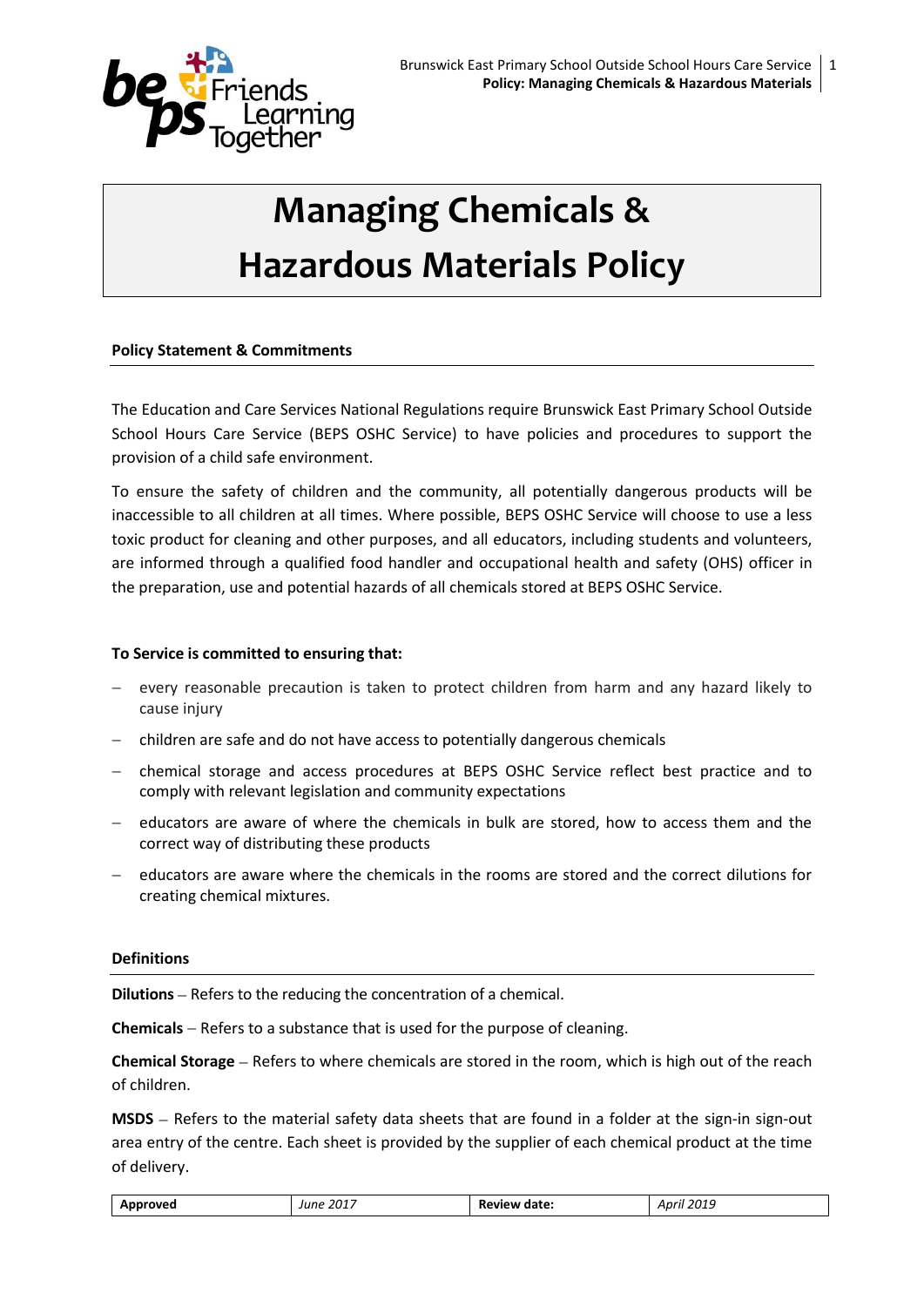

# **Managing Chemicals & Hazardous Materials Policy**

# **Policy Statement & Commitments**

The Education and Care Services National Regulations require Brunswick East Primary School Outside School Hours Care Service (BEPS OSHC Service) to have policies and procedures to support the provision of a child safe environment.

To ensure the safety of children and the community, all potentially dangerous products will be inaccessible to all children at all times. Where possible, BEPS OSHC Service will choose to use a less toxic product for cleaning and other purposes, and all educators, including students and volunteers, are informed through a qualified food handler and occupational health and safety (OHS) officer in the preparation, use and potential hazards of all chemicals stored at BEPS OSHC Service.

## **To Service is committed to ensuring that:**

- every reasonable precaution is taken to protect children from harm and any hazard likely to cause injury
- children are safe and do not have access to potentially dangerous chemicals
- chemical storage and access procedures at BEPS OSHC Service reflect best practice and to comply with relevant legislation and community expectations
- educators are aware of where the chemicals in bulk are stored, how to access them and the correct way of distributing these products
- educators are aware where the chemicals in the rooms are stored and the correct dilutions for creating chemical mixtures.

#### **Definitions**

**Dilutions** – Refers to the reducing the concentration of a chemical.

**Chemicals** – Refers to a substance that is used for the purpose of cleaning.

**Chemical Storage** – Refers to where chemicals are stored in the room, which is high out of the reach of children.

**MSDS** – Refers to the material safety data sheets that are found in a folder at the sign-in sign-out area entry of the centre. Each sheet is provided by the supplier of each chemical product at the time of delivery.

| Approved | . 2017<br>June<br>____ | <b>Review date:</b> | April 2019 |
|----------|------------------------|---------------------|------------|
|----------|------------------------|---------------------|------------|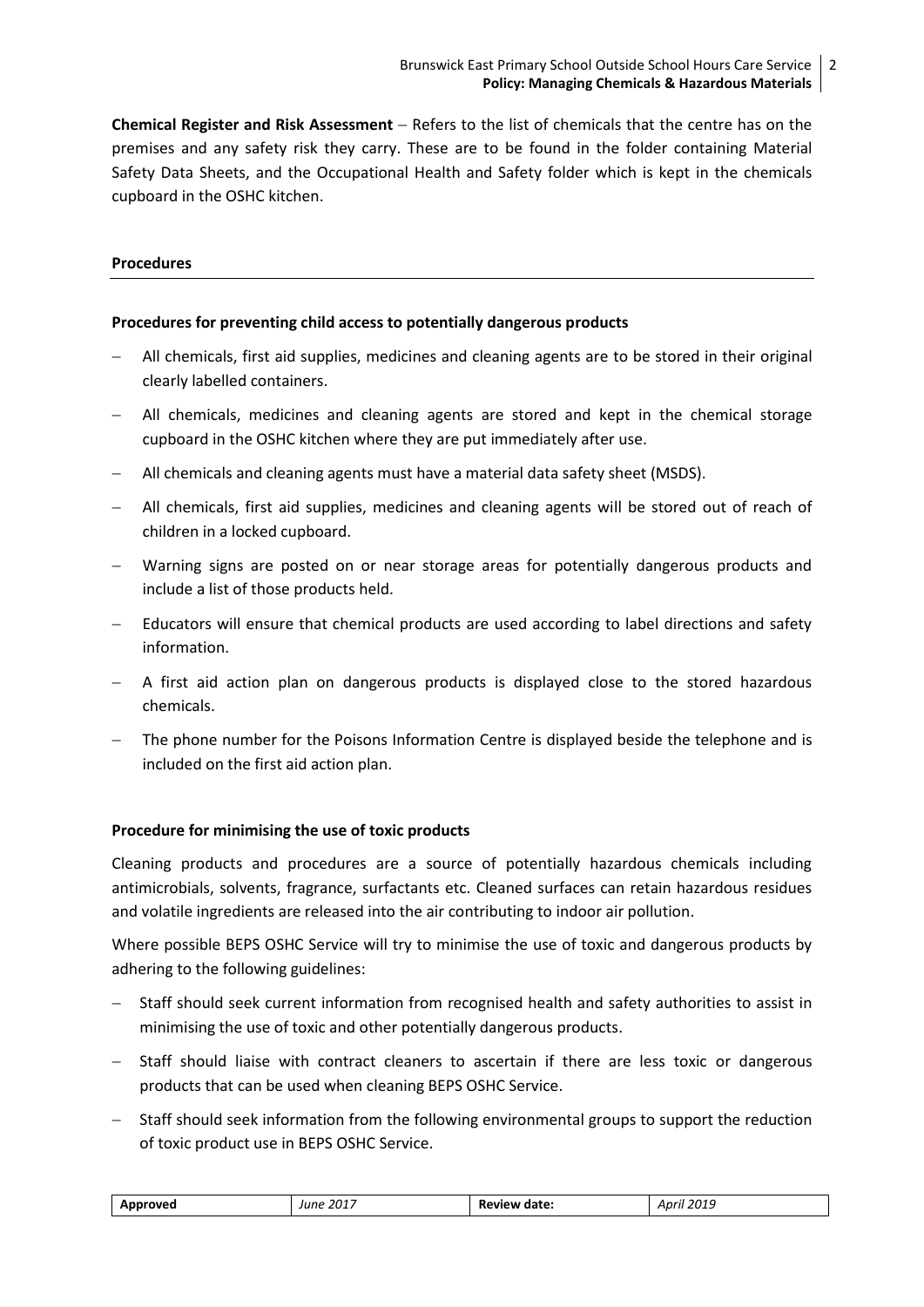**Chemical Register and Risk Assessment** – Refers to the list of chemicals that the centre has on the premises and any safety risk they carry. These are to be found in the folder containing Material Safety Data Sheets, and the Occupational Health and Safety folder which is kept in the chemicals cupboard in the OSHC kitchen.

## **Procedures**

## **Procedures for preventing child access to potentially dangerous products**

- All chemicals, first aid supplies, medicines and cleaning agents are to be stored in their original clearly labelled containers.
- All chemicals, medicines and cleaning agents are stored and kept in the chemical storage cupboard in the OSHC kitchen where they are put immediately after use.
- All chemicals and cleaning agents must have a material data safety sheet (MSDS).
- All chemicals, first aid supplies, medicines and cleaning agents will be stored out of reach of children in a locked cupboard.
- Warning signs are posted on or near storage areas for potentially dangerous products and include a list of those products held.
- Educators will ensure that chemical products are used according to label directions and safety information.
- A first aid action plan on dangerous products is displayed close to the stored hazardous chemicals.
- The phone number for the Poisons Information Centre is displayed beside the telephone and is included on the first aid action plan.

#### **Procedure for minimising the use of toxic products**

Cleaning products and procedures are a source of potentially hazardous chemicals including antimicrobials, solvents, fragrance, surfactants etc. Cleaned surfaces can retain hazardous residues and volatile ingredients are released into the air contributing to indoor air pollution.

Where possible BEPS OSHC Service will try to minimise the use of toxic and dangerous products by adhering to the following guidelines:

- Staff should seek current information from recognised health and safety authorities to assist in minimising the use of toxic and other potentially dangerous products.
- $-$  Staff should liaise with contract cleaners to ascertain if there are less toxic or dangerous products that can be used when cleaning BEPS OSHC Service.
- Staff should seek information from the following environmental groups to support the reduction of toxic product use in BEPS OSHC Service.

| …rover | .2017 | date<br><br>n.<br>_______ | $\mathbf{r}$<br>Anr<br>.<br>-4013 |
|--------|-------|---------------------------|-----------------------------------|
|        |       |                           |                                   |